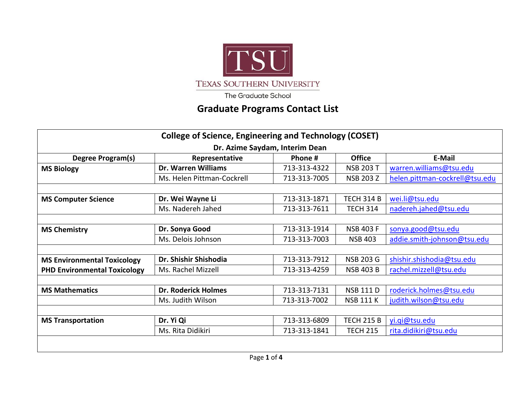

The Graduate School

## **Graduate Programs Contact List**

| <b>College of Science, Engineering and Technology (COSET)</b> |                            |              |                   |                                |  |
|---------------------------------------------------------------|----------------------------|--------------|-------------------|--------------------------------|--|
| Dr. Azime Saydam, Interim Dean                                |                            |              |                   |                                |  |
| Degree Program(s)                                             | Representative             | Phone #      | <b>Office</b>     | E-Mail                         |  |
| <b>MS Biology</b>                                             | Dr. Warren Williams        | 713-313-4322 | <b>NSB 203 T</b>  | warren.williams@tsu.edu        |  |
|                                                               | Ms. Helen Pittman-Cockrell | 713-313-7005 | <b>NSB 203 Z</b>  | helen.pittman-cockrell@tsu.edu |  |
|                                                               |                            |              |                   |                                |  |
| <b>MS Computer Science</b>                                    | Dr. Wei Wayne Li           | 713-313-1871 | <b>TECH 314 B</b> | wei.li@tsu.edu                 |  |
|                                                               | Ms. Nadereh Jahed          | 713-313-7611 | <b>TECH 314</b>   | nadereh.jahed@tsu.edu          |  |
|                                                               |                            |              |                   |                                |  |
| <b>MS Chemistry</b>                                           | Dr. Sonya Good             | 713-313-1914 | <b>NSB 403 F</b>  | sonya.good@tsu.edu             |  |
|                                                               | Ms. Delois Johnson         | 713-313-7003 | <b>NSB 403</b>    | addie.smith-johnson@tsu.edu    |  |
|                                                               |                            |              |                   |                                |  |
| <b>MS Environmental Toxicology</b>                            | Dr. Shishir Shishodia      | 713-313-7912 | <b>NSB 203 G</b>  | shishir.shishodia@tsu.edu      |  |
| <b>PHD Environmental Toxicology</b>                           | Ms. Rachel Mizzell         | 713-313-4259 | <b>NSB 403 B</b>  | rachel.mizzell@tsu.edu         |  |
|                                                               |                            |              |                   |                                |  |
| <b>MS Mathematics</b>                                         | <b>Dr. Roderick Holmes</b> | 713-313-7131 | <b>NSB 111 D</b>  | roderick.holmes@tsu.edu        |  |
|                                                               | Ms. Judith Wilson          | 713-313-7002 | <b>NSB 111 K</b>  | judith.wilson@tsu.edu          |  |
|                                                               |                            |              |                   |                                |  |
| <b>MS Transportation</b>                                      | Dr. Yi Qi                  | 713-313-6809 | <b>TECH 215 B</b> | yi.gi@tsu.edu                  |  |
|                                                               | Ms. Rita Didikiri          | 713-313-1841 | <b>TECH 215</b>   | rita.didikiri@tsu.edu          |  |
|                                                               |                            |              |                   |                                |  |
|                                                               |                            |              |                   |                                |  |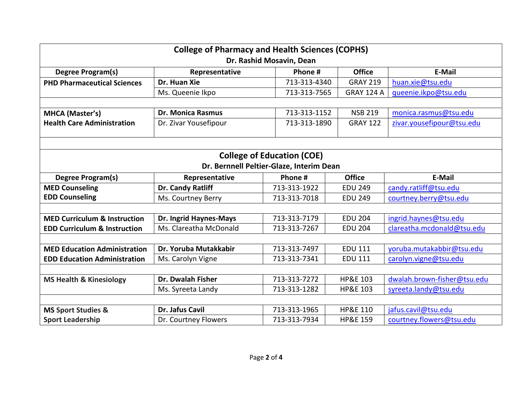| <b>College of Pharmacy and Health Sciences (COPHS)</b> |                          |                                   |                     |                             |  |  |
|--------------------------------------------------------|--------------------------|-----------------------------------|---------------------|-----------------------------|--|--|
| Dr. Rashid Mosavin, Dean                               |                          |                                   |                     |                             |  |  |
| <b>Degree Program(s)</b>                               | Representative           | Phone #                           | <b>Office</b>       | E-Mail                      |  |  |
| <b>PHD Pharmaceutical Sciences</b>                     | Dr. Huan Xie             | 713-313-4340                      | <b>GRAY 219</b>     | huan.xie@tsu.edu            |  |  |
|                                                        | Ms. Queenie Ikpo         | 713-313-7565                      | <b>GRAY 124 A</b>   | queenie.ikpo@tsu.edu        |  |  |
|                                                        |                          |                                   |                     |                             |  |  |
| <b>MHCA (Master's)</b>                                 | <b>Dr. Monica Rasmus</b> | 713-313-1152                      | <b>NSB 219</b>      | monica.rasmus@tsu.edu       |  |  |
| <b>Health Care Administration</b>                      | Dr. Zivar Yousefipour    | 713-313-1890                      | <b>GRAY 122</b>     | zivar.yousefipour@tsu.edu   |  |  |
|                                                        |                          |                                   |                     |                             |  |  |
|                                                        |                          | <b>College of Education (COE)</b> |                     |                             |  |  |
| Dr. Bernnell Peltier-Glaze, Interim Dean               |                          |                                   |                     |                             |  |  |
| <b>Degree Program(s)</b>                               | Representative           | Phone #                           | <b>Office</b>       | <b>E-Mail</b>               |  |  |
| <b>MED Counseling</b>                                  | Dr. Candy Ratliff        | 713-313-1922                      | <b>EDU 249</b>      | candy.ratliff@tsu.edu       |  |  |
| <b>EDD Counseling</b>                                  | Ms. Courtney Berry       | 713-313-7018                      | <b>EDU 249</b>      | courtney.berry@tsu.edu      |  |  |
|                                                        |                          |                                   |                     |                             |  |  |
| <b>MED Curriculum &amp; Instruction</b>                | Dr. Ingrid Haynes-Mays   | 713-313-7179                      | <b>EDU 204</b>      | ingrid.haynes@tsu.edu       |  |  |
| <b>EDD Curriculum &amp; Instruction</b>                | Ms. Clareatha McDonald   | 713-313-7267                      | <b>EDU 204</b>      | clareatha.mcdonald@tsu.edu  |  |  |
|                                                        |                          |                                   |                     |                             |  |  |
| <b>MED Education Administration</b>                    | Dr. Yoruba Mutakkabir    | 713-313-7497                      | <b>EDU 111</b>      | yoruba.mutakabbir@tsu.edu   |  |  |
| <b>EDD Education Administration</b>                    | Ms. Carolyn Vigne        | 713-313-7341                      | <b>EDU 111</b>      | carolyn.vigne@tsu.edu       |  |  |
|                                                        |                          |                                   |                     |                             |  |  |
| <b>MS Health &amp; Kinesiology</b>                     | Dr. Dwalah Fisher        | 713-313-7272                      | <b>HP&amp;E 103</b> | dwalah.brown-fisher@tsu.edu |  |  |
|                                                        | Ms. Syreeta Landy        | 713-313-1282                      | <b>HP&amp;E 103</b> | syreeta.landy@tsu.edu       |  |  |
|                                                        |                          |                                   |                     |                             |  |  |
| <b>MS Sport Studies &amp;</b>                          | Dr. Jafus Cavil          | 713-313-1965                      | <b>HP&amp;E 110</b> | jafus.cavil@tsu.edu         |  |  |
| <b>Sport Leadership</b>                                | Dr. Courtney Flowers     | 713-313-7934                      | <b>HP&amp;E 159</b> | courtney.flowers@tsu.edu    |  |  |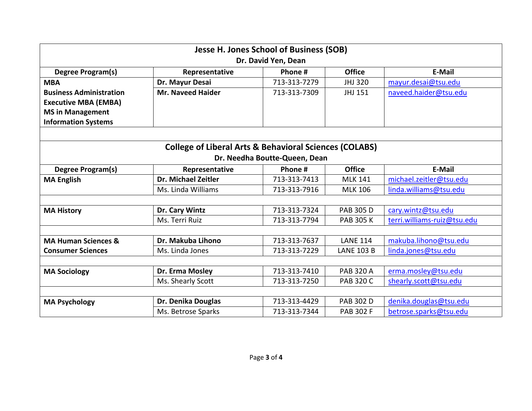| Jesse H. Jones School of Business (SOB)                           |                            |              |                   |                             |  |  |
|-------------------------------------------------------------------|----------------------------|--------------|-------------------|-----------------------------|--|--|
| Dr. David Yen, Dean                                               |                            |              |                   |                             |  |  |
| Degree Program(s)                                                 | Representative             | Phone #      | <b>Office</b>     | E-Mail                      |  |  |
| <b>MBA</b>                                                        | Dr. Mayur Desai            | 713-313-7279 | JHJ 320           | mayur.desai@tsu.edu         |  |  |
| <b>Business Administration</b>                                    | <b>Mr. Naveed Haider</b>   | 713-313-7309 | JHJ 151           | naveed.haider@tsu.edu       |  |  |
| <b>Executive MBA (EMBA)</b>                                       |                            |              |                   |                             |  |  |
| <b>MS in Management</b>                                           |                            |              |                   |                             |  |  |
| <b>Information Systems</b>                                        |                            |              |                   |                             |  |  |
|                                                                   |                            |              |                   |                             |  |  |
| <b>College of Liberal Arts &amp; Behavioral Sciences (COLABS)</b> |                            |              |                   |                             |  |  |
| Dr. Needha Boutte-Queen, Dean                                     |                            |              |                   |                             |  |  |
| <b>Degree Program(s)</b>                                          | Representative             | Phone #      | <b>Office</b>     | E-Mail                      |  |  |
| <b>MA English</b>                                                 | <b>Dr. Michael Zeitler</b> | 713-313-7413 | <b>MLK 141</b>    | michael.zeitler@tsu.edu     |  |  |
|                                                                   | Ms. Linda Williams         | 713-313-7916 | <b>MLK 106</b>    | linda.williams@tsu.edu      |  |  |
|                                                                   |                            |              |                   |                             |  |  |
| <b>MA History</b>                                                 | Dr. Cary Wintz             | 713-313-7324 | <b>PAB 305 D</b>  | cary.wintz@tsu.edu          |  |  |
|                                                                   | Ms. Terri Ruiz             | 713-313-7794 | <b>PAB 305 K</b>  | terri.williams-ruiz@tsu.edu |  |  |
|                                                                   |                            |              |                   |                             |  |  |
| <b>MA Human Sciences &amp;</b>                                    | Dr. Makuba Lihono          | 713-313-7637 | <b>LANE 114</b>   | makuba.lihono@tsu.edu       |  |  |
| <b>Consumer Sciences</b>                                          | Ms. Linda Jones            | 713-313-7229 | <b>LANE 103 B</b> | linda.jones@tsu.edu         |  |  |
|                                                                   |                            |              |                   |                             |  |  |
| <b>MA Sociology</b>                                               | Dr. Erma Mosley            | 713-313-7410 | <b>PAB 320 A</b>  | erma.mosley@tsu.edu         |  |  |
|                                                                   | Ms. Shearly Scott          | 713-313-7250 | <b>PAB 320 C</b>  | shearly.scott@tsu.edu       |  |  |
|                                                                   |                            |              |                   |                             |  |  |
| <b>MA Psychology</b>                                              | Dr. Denika Douglas         | 713-313-4429 | <b>PAB 302 D</b>  | denika.douglas@tsu.edu      |  |  |
|                                                                   | Ms. Betrose Sparks         | 713-313-7344 | <b>PAB 302 F</b>  | betrose.sparks@tsu.edu      |  |  |